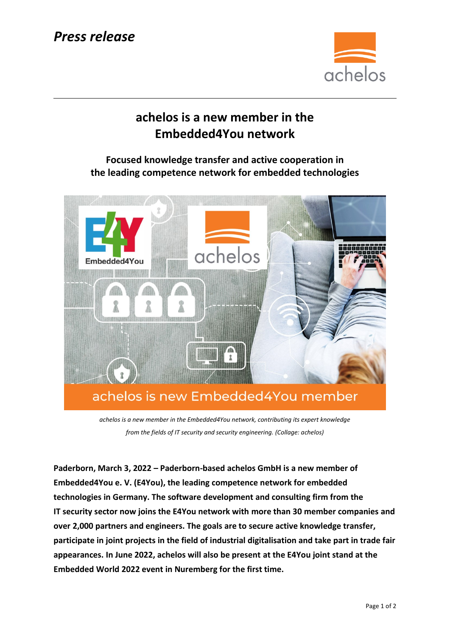## *Press release*



## **achelos is a new member in the Embedded4You network**

**Focused knowledge transfer and active cooperation in the leading competence network for embedded technologies**



*achelos is a new member in the Embedded4You network, contributing its expert knowledge from the fields of IT security and security engineering. (Collage: achelos)*

**Paderborn, March 3, 2022 – Paderborn-based achelos GmbH is a new member of Embedded4You e. V. (E4You), the leading competence network for embedded technologies in Germany. The software development and consulting firm from the IT security sector now joins the E4You network with more than 30 member companies and over 2,000 partners and engineers. The goals are to secure active knowledge transfer, participate in joint projects in the field of industrial digitalisation and take part in trade fair appearances. In June 2022, achelos will also be present at the E4You joint stand at the Embedded World 2022 event in Nuremberg for the first time.**